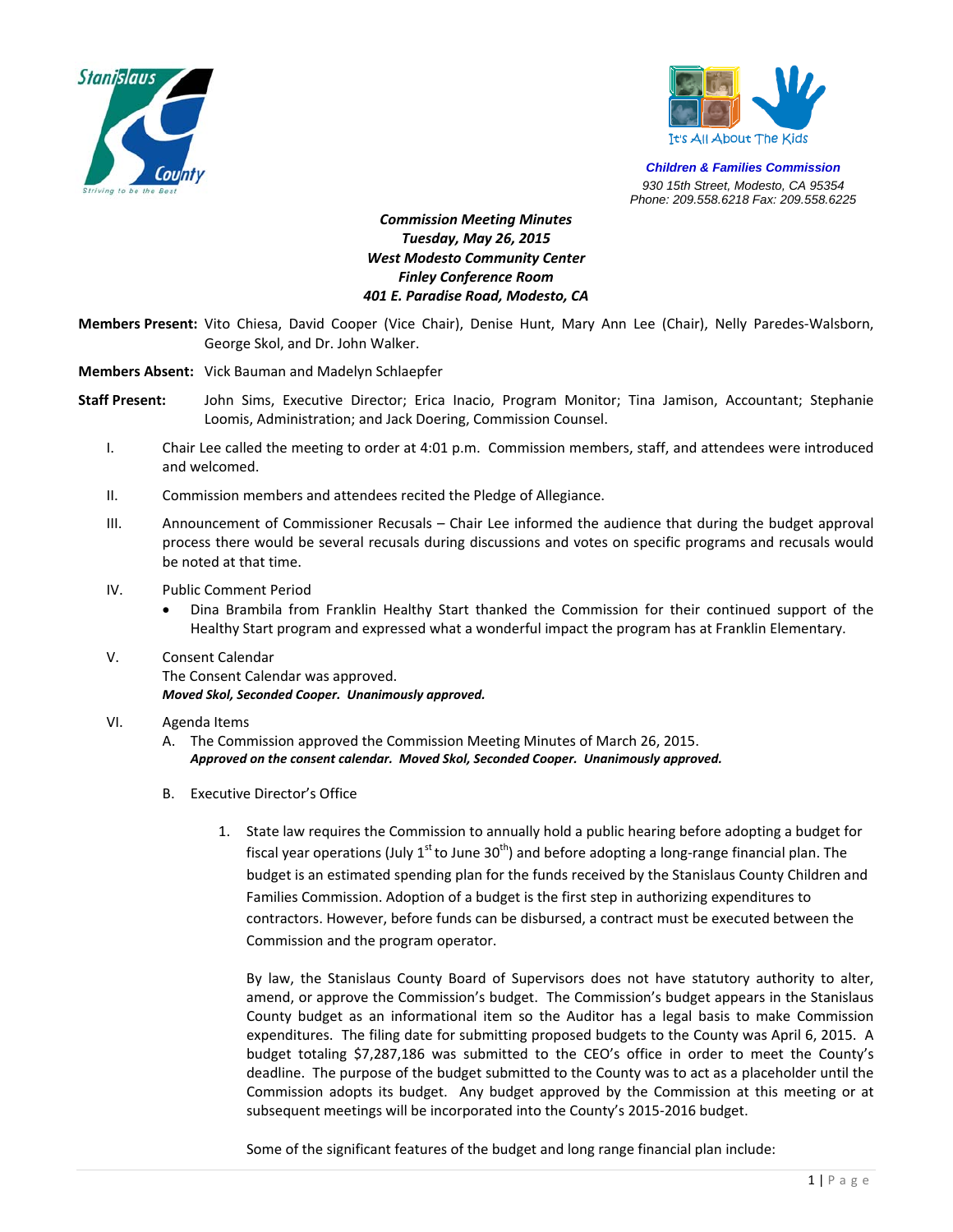



*Children & Families Commission 930 15th Street, Modesto, CA 95354 Phone: 209.558.6218 Fax: 209.558.6225*

*Commission Meeting Minutes Tuesday, May 26, 2015 West Modesto Community Center Finley Conference Room 401 E. Paradise Road, Modesto, CA* 

**Members Present:** Vito Chiesa, David Cooper (Vice Chair), Denise Hunt, Mary Ann Lee (Chair), Nelly Paredes‐Walsborn, George Skol, and Dr. John Walker.

**Members Absent:** Vick Bauman and Madelyn Schlaepfer

- **Staff Present:** John Sims, Executive Director; Erica Inacio, Program Monitor; Tina Jamison, Accountant; Stephanie Loomis, Administration; and Jack Doering, Commission Counsel.
	- I. Chair Lee called the meeting to order at 4:01 p.m. Commission members, staff, and attendees were introduced and welcomed.
	- II. Commission members and attendees recited the Pledge of Allegiance.
	- III. Announcement of Commissioner Recusals Chair Lee informed the audience that during the budget approval process there would be several recusals during discussions and votes on specific programs and recusals would be noted at that time.
	- IV. Public Comment Period
		- Dina Brambila from Franklin Healthy Start thanked the Commission for their continued support of the Healthy Start program and expressed what a wonderful impact the program has at Franklin Elementary.
	- V. Consent Calendar The Consent Calendar was approved. *Moved Skol, Seconded Cooper. Unanimously approved.*
	- VI. Agenda Items
		- A. The Commission approved the Commission Meeting Minutes of March 26, 2015. *Approved on the consent calendar. Moved Skol, Seconded Cooper. Unanimously approved.*
		- B. Executive Director's Office
			- 1. State law requires the Commission to annually hold a public hearing before adopting a budget for fiscal year operations (July  $1<sup>st</sup>$  to June 30<sup>th</sup>) and before adopting a long-range financial plan. The budget is an estimated spending plan for the funds received by the Stanislaus County Children and Families Commission. Adoption of a budget is the first step in authorizing expenditures to contractors. However, before funds can be disbursed, a contract must be executed between the Commission and the program operator.

By law, the Stanislaus County Board of Supervisors does not have statutory authority to alter, amend, or approve the Commission's budget. The Commission's budget appears in the Stanislaus County budget as an informational item so the Auditor has a legal basis to make Commission expenditures. The filing date for submitting proposed budgets to the County was April 6, 2015. A budget totaling \$7,287,186 was submitted to the CEO's office in order to meet the County's deadline. The purpose of the budget submitted to the County was to act as a placeholder until the Commission adopts its budget. Any budget approved by the Commission at this meeting or at subsequent meetings will be incorporated into the County's 2015‐2016 budget.

Some of the significant features of the budget and long range financial plan include: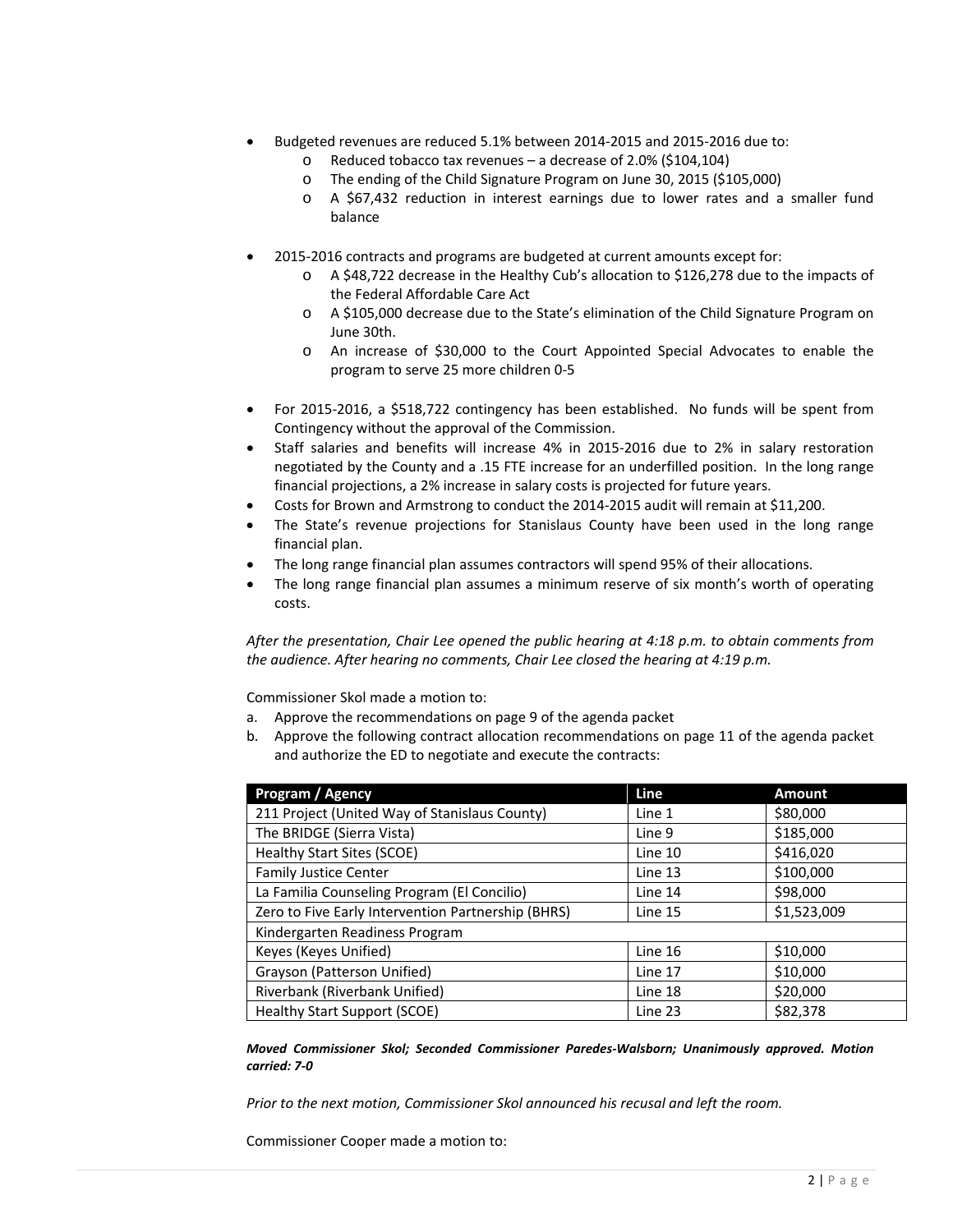- Budgeted revenues are reduced 5.1% between 2014‐2015 and 2015‐2016 due to:
	- o Reduced tobacco tax revenues a decrease of 2.0% (\$104,104)
	- o The ending of the Child Signature Program on June 30, 2015 (\$105,000)
	- o A \$67,432 reduction in interest earnings due to lower rates and a smaller fund balance
- 2015‐2016 contracts and programs are budgeted at current amounts except for:
	- o A \$48,722 decrease in the Healthy Cub's allocation to \$126,278 due to the impacts of the Federal Affordable Care Act
	- o A \$105,000 decrease due to the State's elimination of the Child Signature Program on June 30th.
	- o An increase of \$30,000 to the Court Appointed Special Advocates to enable the program to serve 25 more children 0‐5
- For 2015-2016, a \$518,722 contingency has been established. No funds will be spent from Contingency without the approval of the Commission.
- Staff salaries and benefits will increase 4% in 2015‐2016 due to 2% in salary restoration negotiated by the County and a .15 FTE increase for an underfilled position. In the long range financial projections, a 2% increase in salary costs is projected for future years.
- Costs for Brown and Armstrong to conduct the 2014‐2015 audit will remain at \$11,200.
- The State's revenue projections for Stanislaus County have been used in the long range financial plan.
- The long range financial plan assumes contractors will spend 95% of their allocations.
- The long range financial plan assumes a minimum reserve of six month's worth of operating costs.

*After the presentation, Chair Lee opened the public hearing at 4:18 p.m. to obtain comments from the audience. After hearing no comments, Chair Lee closed the hearing at 4:19 p.m.*

Commissioner Skol made a motion to:

- a. Approve the recommendations on page 9 of the agenda packet
- b. Approve the following contract allocation recommendations on page 11 of the agenda packet and authorize the ED to negotiate and execute the contracts:

| Program / Agency                                   | Line    | <b>Amount</b> |  |  |
|----------------------------------------------------|---------|---------------|--|--|
| 211 Project (United Way of Stanislaus County)      | Line 1  | \$80,000      |  |  |
| The BRIDGE (Sierra Vista)                          | Line 9  | \$185,000     |  |  |
| Healthy Start Sites (SCOE)                         | Line 10 | \$416,020     |  |  |
| <b>Family Justice Center</b>                       | Line 13 | \$100,000     |  |  |
| La Familia Counseling Program (El Concilio)        | Line 14 | \$98,000      |  |  |
| Zero to Five Early Intervention Partnership (BHRS) | Line 15 | \$1,523,009   |  |  |
| Kindergarten Readiness Program                     |         |               |  |  |
| Keyes (Keyes Unified)                              | Line 16 | \$10,000      |  |  |
| Grayson (Patterson Unified)                        | Line 17 | \$10,000      |  |  |
| Riverbank (Riverbank Unified)                      | Line 18 | \$20,000      |  |  |
| <b>Healthy Start Support (SCOE)</b>                | Line 23 | \$82,378      |  |  |

*Moved Commissioner Skol; Seconded Commissioner Paredes‐Walsborn; Unanimously approved. Motion carried: 7‐0*

*Prior to the next motion, Commissioner Skol announced his recusal and left the room.*

Commissioner Cooper made a motion to: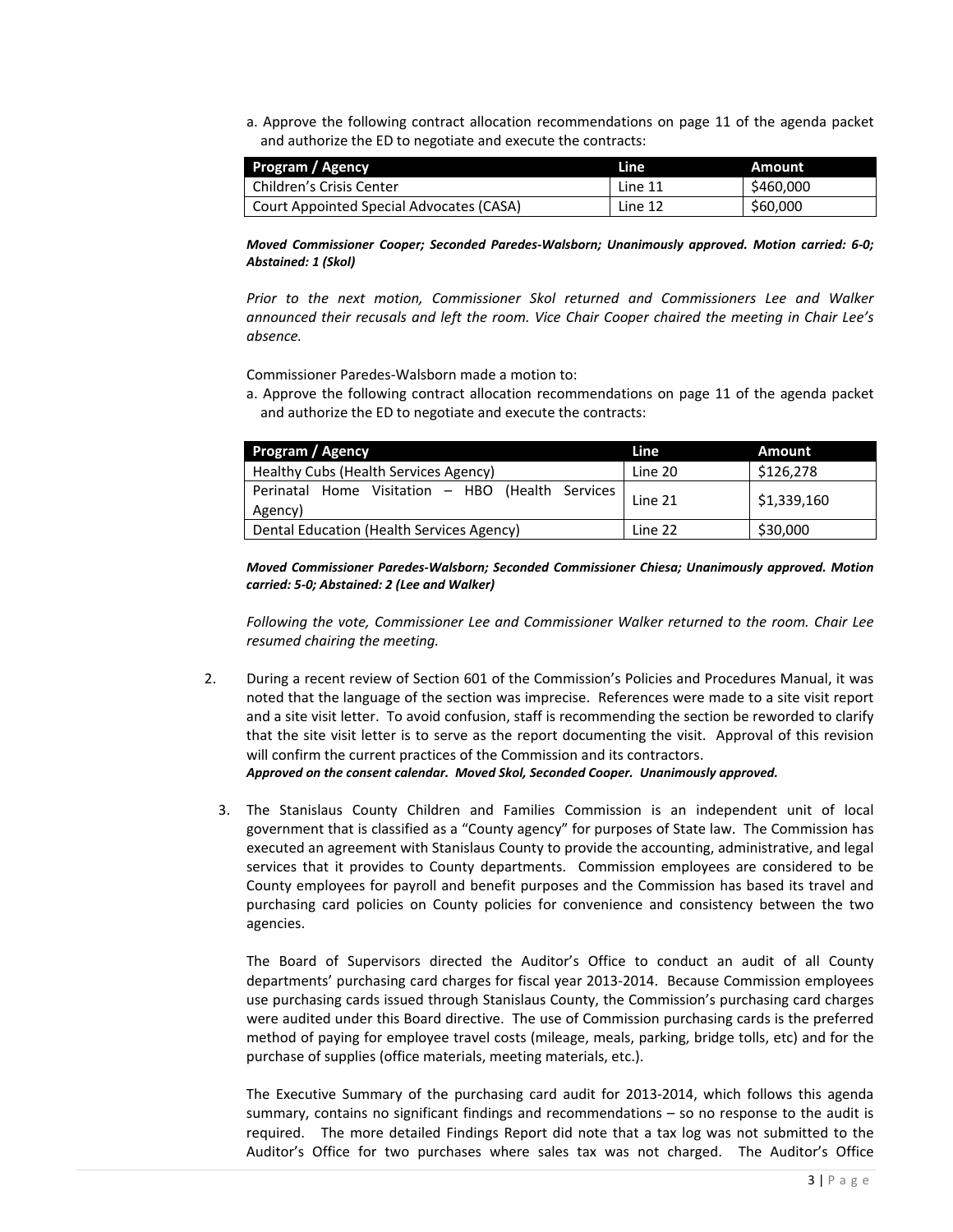a. Approve the following contract allocation recommendations on page 11 of the agenda packet and authorize the ED to negotiate and execute the contracts:

| Program / Agency                         | Line    | Amount    |
|------------------------------------------|---------|-----------|
| Children's Crisis Center                 | Line 11 | \$460,000 |
| Court Appointed Special Advocates (CASA) | Line 12 | \$60,000  |

*Moved Commissioner Cooper; Seconded Paredes‐Walsborn; Unanimously approved. Motion carried: 6‐0; Abstained: 1 (Skol)*

*Prior to the next motion, Commissioner Skol returned and Commissioners Lee and Walker announced their recusals and left the room. Vice Chair Cooper chaired the meeting in Chair Lee's absence.*

Commissioner Paredes‐Walsborn made a motion to:

a. Approve the following contract allocation recommendations on page 11 of the agenda packet and authorize the ED to negotiate and execute the contracts:

| Program / Agency                                            | Line    | Amount      |
|-------------------------------------------------------------|---------|-------------|
| Healthy Cubs (Health Services Agency)                       | Line 20 | \$126,278   |
| Perinatal Home Visitation - HBO (Health Services<br>Agency) | Line 21 | \$1,339,160 |
| Dental Education (Health Services Agency)                   | Line 22 | \$30,000    |

*Moved Commissioner Paredes‐Walsborn; Seconded Commissioner Chiesa; Unanimously approved. Motion carried: 5‐0; Abstained: 2 (Lee and Walker)*

*Following the vote, Commissioner Lee and Commissioner Walker returned to the room. Chair Lee resumed chairing the meeting.*

- 2. During a recent review of Section 601 of the Commission's Policies and Procedures Manual, it was noted that the language of the section was imprecise. References were made to a site visit report and a site visit letter. To avoid confusion, staff is recommending the section be reworded to clarify that the site visit letter is to serve as the report documenting the visit. Approval of this revision will confirm the current practices of the Commission and its contractors. *Approved on the consent calendar. Moved Skol, Seconded Cooper. Unanimously approved.*
	- 3. The Stanislaus County Children and Families Commission is an independent unit of local government that is classified as a "County agency" for purposes of State law. The Commission has executed an agreement with Stanislaus County to provide the accounting, administrative, and legal services that it provides to County departments. Commission employees are considered to be County employees for payroll and benefit purposes and the Commission has based its travel and purchasing card policies on County policies for convenience and consistency between the two agencies.

The Board of Supervisors directed the Auditor's Office to conduct an audit of all County departments' purchasing card charges for fiscal year 2013‐2014. Because Commission employees use purchasing cards issued through Stanislaus County, the Commission's purchasing card charges were audited under this Board directive. The use of Commission purchasing cards is the preferred method of paying for employee travel costs (mileage, meals, parking, bridge tolls, etc) and for the purchase of supplies (office materials, meeting materials, etc.).

The Executive Summary of the purchasing card audit for 2013‐2014, which follows this agenda summary, contains no significant findings and recommendations – so no response to the audit is required. The more detailed Findings Report did note that a tax log was not submitted to the Auditor's Office for two purchases where sales tax was not charged. The Auditor's Office